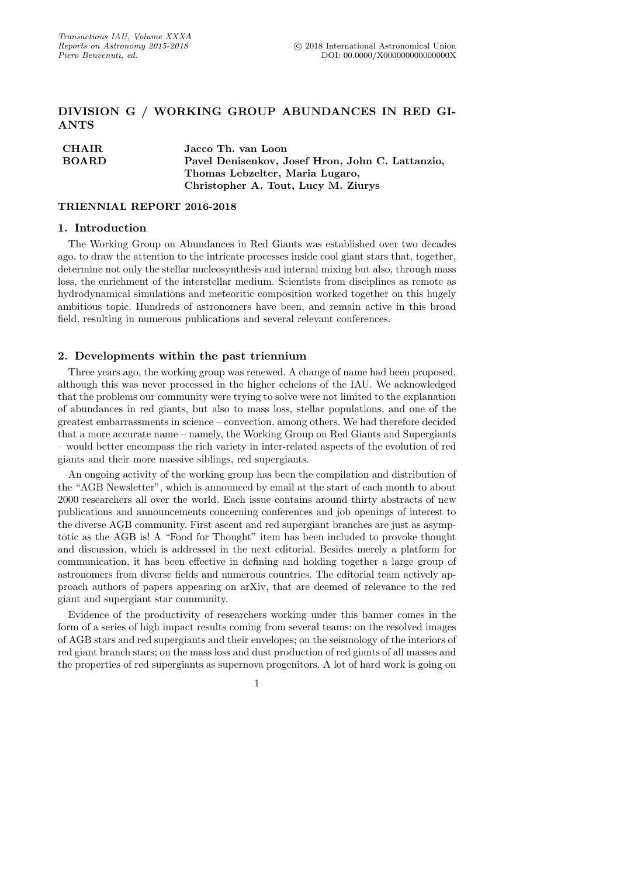# DIVISION G / WORKING GROUP ABUNDANCES IN RED GI-ANTS

| <b>CHAIR</b> | Jacco Th. van Loon                               |
|--------------|--------------------------------------------------|
| <b>BOARD</b> | Pavel Denisenkov, Josef Hron, John C. Lattanzio, |
|              | Thomas Lebzelter, Maria Lugaro,                  |
|              | Christopher A. Tout, Lucy M. Ziurys              |

#### TRIENNIAL REPORT 2016-2018

## 1. Introduction

The Working Group on Abundances in Red Giants was established over two decades ago, to draw the attention to the intricate processes inside cool giant stars that, together, determine not only the stellar nucleosynthesis and internal mixing but also, through mass loss, the enrichment of the interstellar medium. Scientists from disciplines as remote as hydrodynamical simulations and meteoritic composition worked together on this hugely ambitious topic. Hundreds of astronomers have been, and remain active in this broad field, resulting in numerous publications and several relevant conferences.

## 2. Developments within the past triennium

Three years ago, the working group was renewed. A change of name had been proposed, although this was never processed in the higher echelons of the IAU. We acknowledged that the problems our community were trying to solve were not limited to the explanation of abundances in red giants, but also to mass loss, stellar populations, and one of the greatest embarrassments in science – convection, among others. We had therefore decided that a more accurate name – namely, the Working Group on Red Giants and Supergiants – would better encompass the rich variety in inter-related aspects of the evolution of red giants and their more massive siblings, red supergiants.

An ongoing activity of the working group has been the compilation and distribution of the "AGB Newsletter", which is announced by email at the start of each month to about 2000 researchers all over the world. Each issue contains around thirty abstracts of new publications and announcements concerning conferences and job openings of interest to the diverse AGB community. First ascent and red supergiant branches are just as asymptotic as the AGB is! A "Food for Thought" item has been included to provoke thought and discussion, which is addressed in the next editorial. Besides merely a platform for communication, it has been effective in defining and holding together a large group of astronomers from diverse fields and numerous countries. The editorial team actively approach authors of papers appearing on arXiv, that are deemed of relevance to the red giant and supergiant star community.

Evidence of the productivity of researchers working under this banner comes in the form of a series of high impact results coming from several teams: on the resolved images of AGB stars and red supergiants and their envelopes; on the seismology of the interiors of red giant branch stars; on the mass loss and dust production of red giants of all masses and the properties of red supergiants as supernova progenitors. A lot of hard work is going on

1